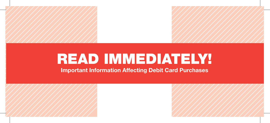## READ IMMEDIATELY!

Important Information Affecting Debit Card Purchases